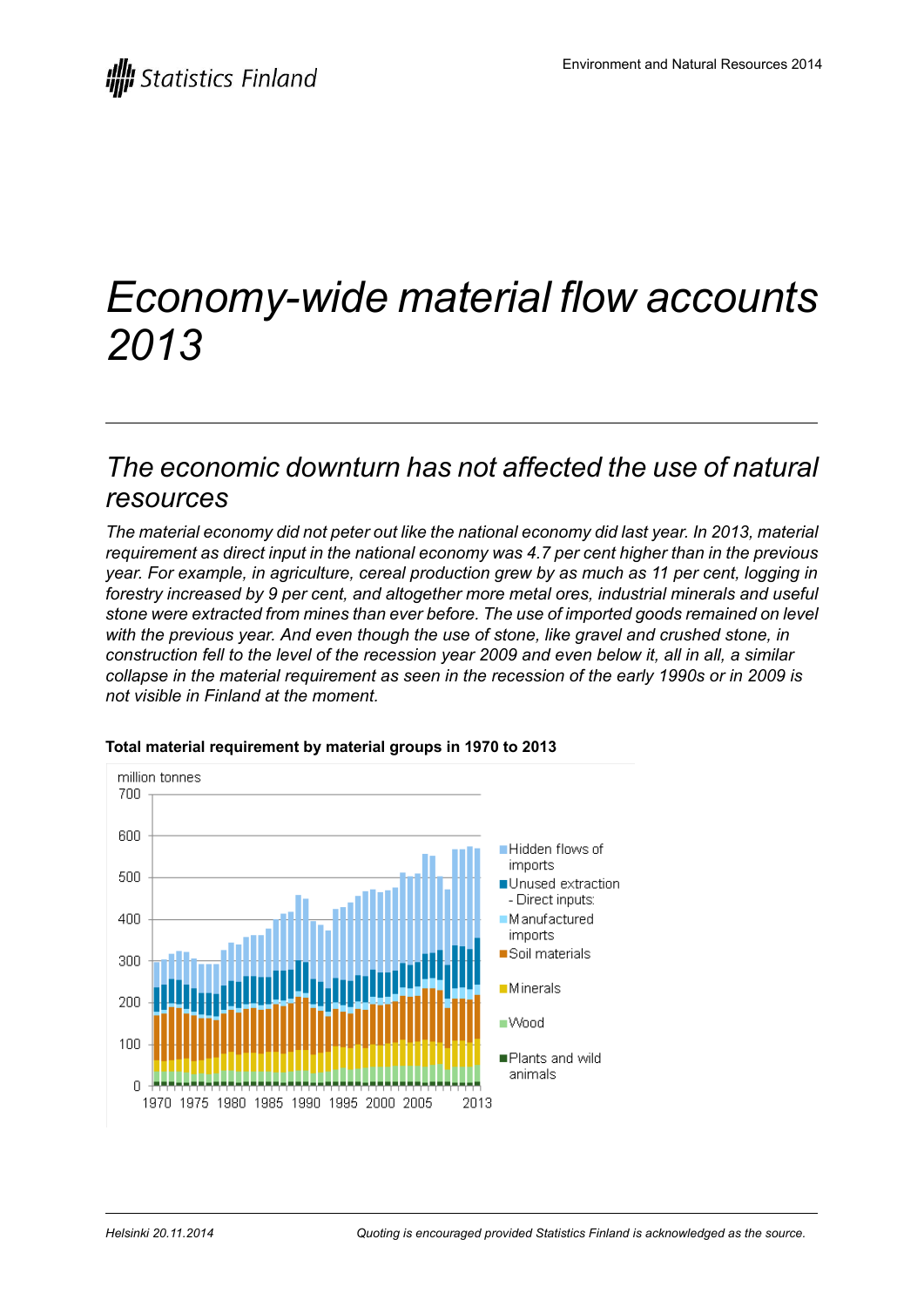# *Economy-wide material flow accounts 2013*

## *The economic downturn has not affected the use of natural resources*

*The material economy did not peter out like the national economy did last year. In 2013, material requirement as direct input in the national economy was 4.7 per cent higher than in the previous year. For example, in agriculture, cereal production grew by as much as 11 per cent, logging in forestry increased by 9 per cent, and altogether more metal ores, industrial minerals and useful stone were extracted from mines than ever before. The use of imported goods remained on level with the previous year. And even though the use of stone, like gravel and crushed stone, in* construction fell to the level of the recession year 2009 and even below it, all in all, a similar *collapse in the material requirement as seen in the recession of the early 1990s or in 2009 is not visible in Finland at the moment.*



#### **Total material requirement by material groups in 1970 to 2013**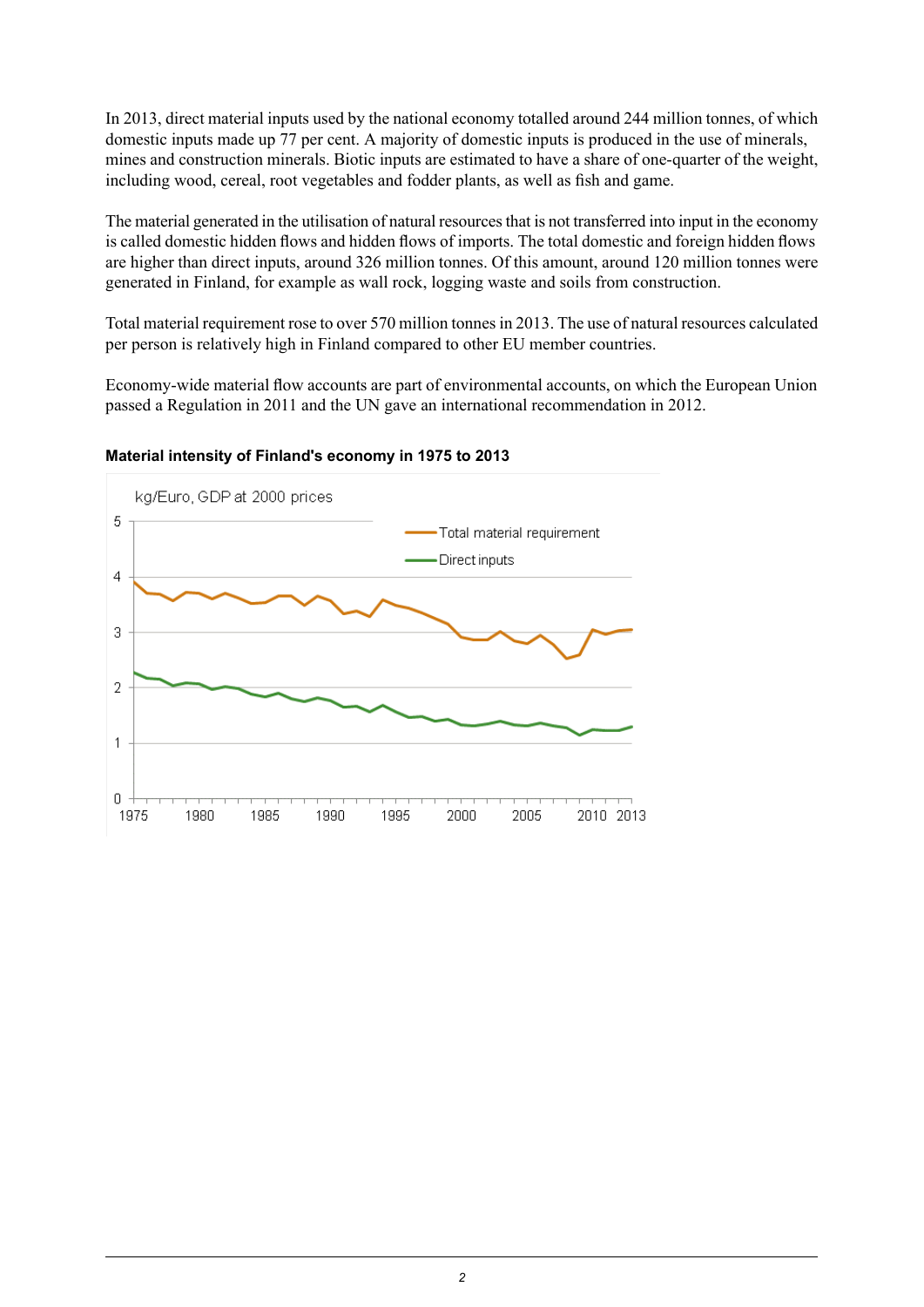In 2013, direct material inputs used by the national economy totalled around 244 million tonnes, of which domestic inputs made up 77 per cent. A majority of domestic inputs is produced in the use of minerals, mines and construction minerals. Biotic inputs are estimated to have a share of one-quarter of the weight, including wood, cereal, root vegetables and fodder plants, as well as fish and game.

The material generated in the utilisation of natural resources that is not transferred into input in the economy is called domestic hidden flows and hidden flows of imports. The total domestic and foreign hidden flows are higher than direct inputs, around 326 million tonnes. Of this amount, around 120 million tonnes were generated in Finland, for example as wall rock, logging waste and soils from construction.

Total material requirement rose to over 570 million tonnes in 2013. The use of natural resources calculated per person is relatively high in Finland compared to other EU member countries.

Economy-wide material flow accounts are part of environmental accounts, on which the European Union passed a Regulation in 2011 and the UN gave an international recommendation in 2012.



#### **Material intensity of Finland's economy in 1975 to 2013**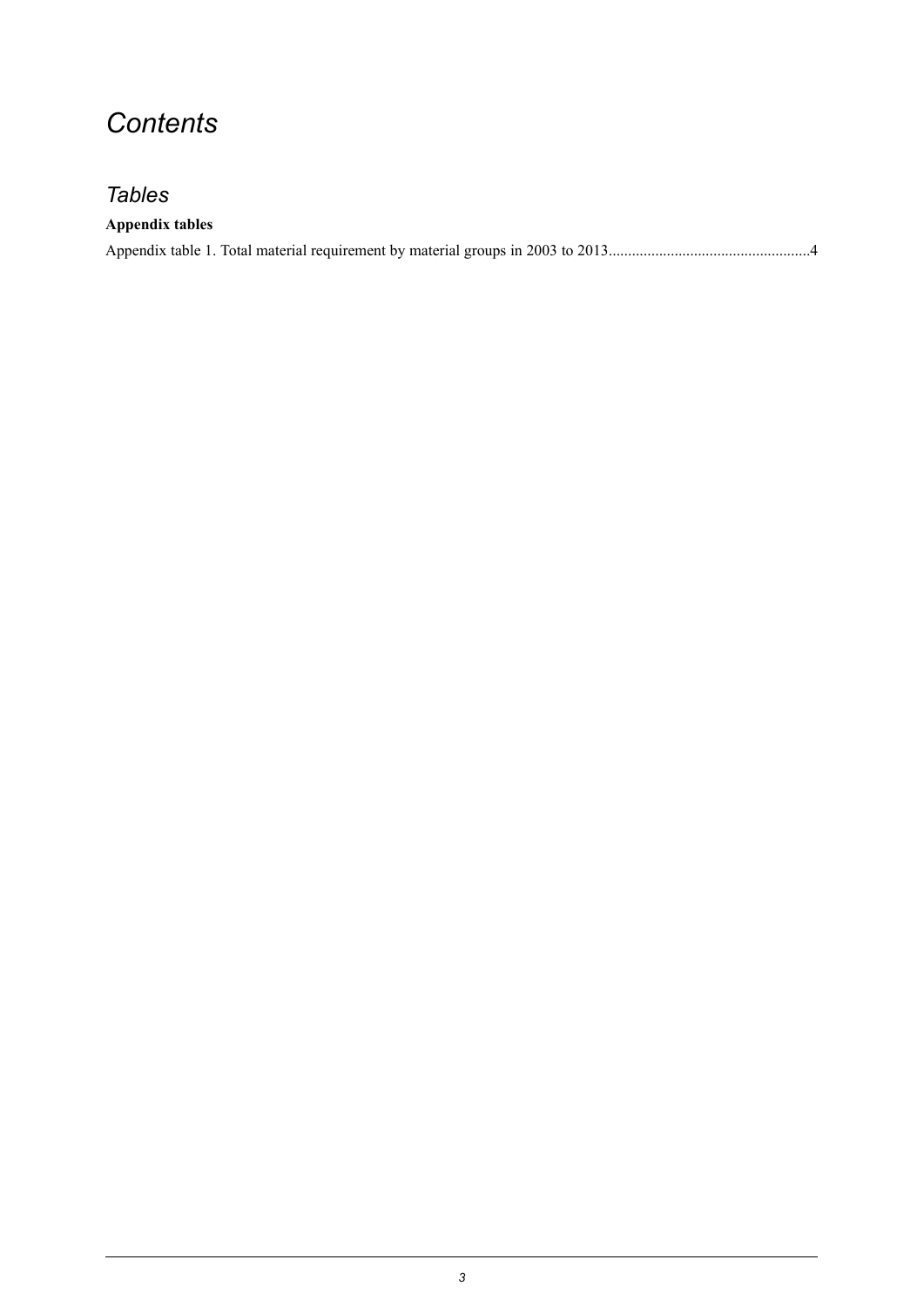## *Contents*

## *Tables*

### **Appendix tables**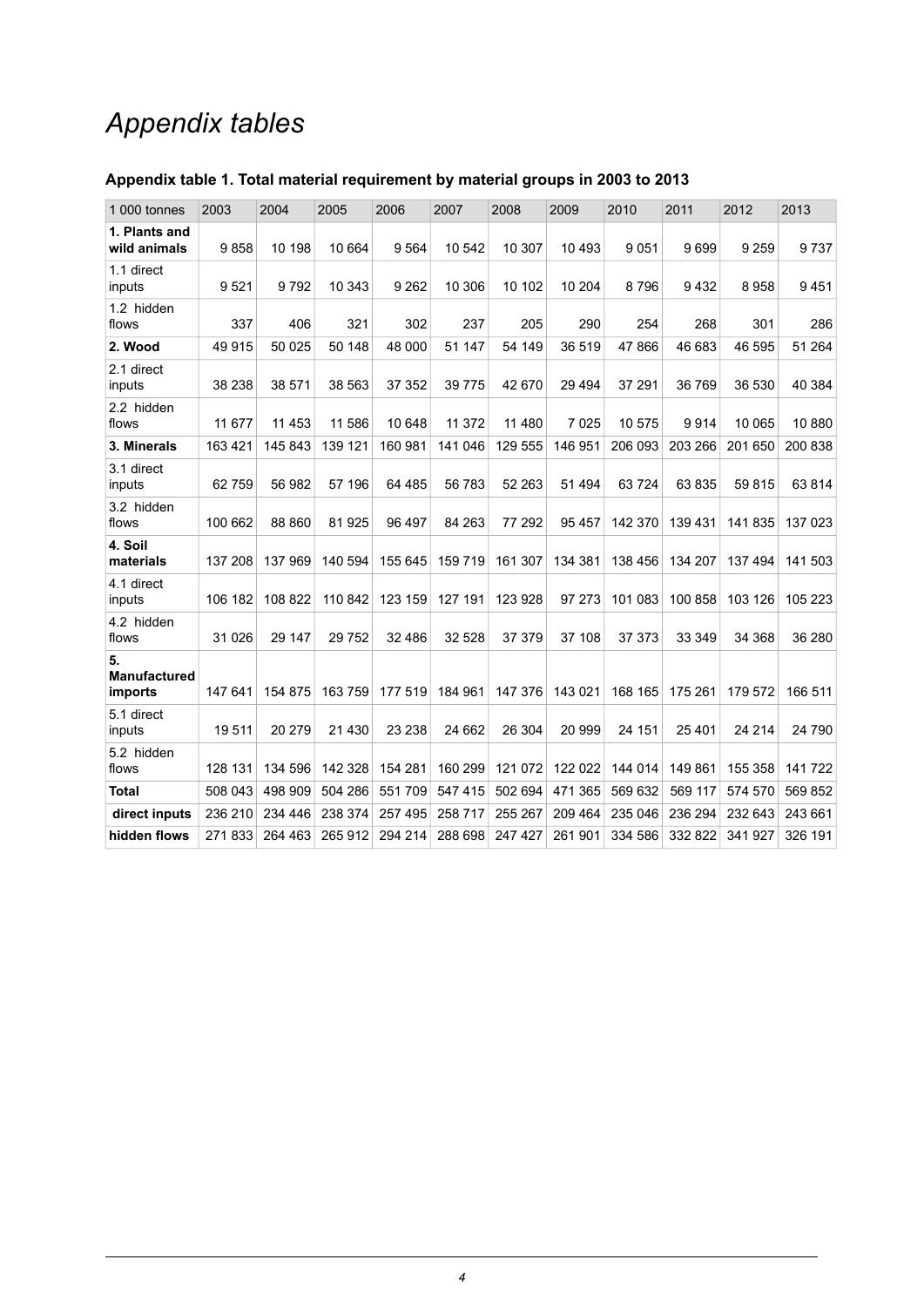# *Appendix tables*

| 1 000 tonnes                         | 2003    | 2004    | 2005    | 2006    | 2007     | 2008    | 2009    | 2010    | 2011    | 2012    | 2013    |
|--------------------------------------|---------|---------|---------|---------|----------|---------|---------|---------|---------|---------|---------|
| 1. Plants and<br>wild animals        | 9858    | 10 198  | 10 664  | 9564    | 10 542   | 10 307  | 10 493  | 9051    | 9699    | 9 2 5 9 | 9737    |
| 1.1 direct<br>inputs                 | 9521    | 9792    | 10 343  | 9 2 6 2 | 10 306   | 10 102  | 10 204  | 8796    | 9432    | 8958    | 9451    |
| 1.2 hidden<br>flows                  | 337     | 406     | 321     | 302     | 237      | 205     | 290     | 254     | 268     | 301     | 286     |
| 2. Wood                              | 49 915  | 50 025  | 50 148  | 48 000  | 51 147   | 54 149  | 36 519  | 47866   | 46 683  | 46 595  | 51 264  |
| 2.1 direct<br>inputs                 | 38 238  | 38 571  | 38 563  | 37 352  | 39 7 7 5 | 42 670  | 29 4 94 | 37 291  | 36769   | 36 530  | 40 384  |
| 2.2 hidden<br>flows                  | 11 677  | 11 453  | 11 586  | 10 648  | 11 372   | 11 480  | 7 0 2 5 | 10575   | 9914    | 10 065  | 10880   |
| 3. Minerals                          | 163 421 | 145 843 | 139 121 | 160 981 | 141 046  | 129 555 | 146 951 | 206 093 | 203 266 | 201 650 | 200 838 |
| 3.1 direct<br>inputs                 | 62759   | 56 982  | 57 196  | 64 485  | 56 783   | 52 263  | 51 494  | 63724   | 63835   | 59815   | 63814   |
| 3.2 hidden<br>flows                  | 100 662 | 88 860  | 81925   | 96 497  | 84 263   | 77 292  | 95 457  | 142 370 | 139 431 | 141835  | 137 023 |
| 4. Soil<br>materials                 | 137 208 | 137 969 | 140 594 | 155 645 | 159 719  | 161 307 | 134 381 | 138 456 | 134 207 | 137 494 | 141 503 |
| 4.1 direct<br>inputs                 | 106 182 | 108 822 | 110 842 | 123 159 | 127 191  | 123 928 | 97 273  | 101 083 | 100 858 | 103 126 | 105 223 |
| 4.2 hidden<br>flows                  | 31 0 26 | 29 147  | 29 7 52 | 32 486  | 32 5 28  | 37 379  | 37 108  | 37 373  | 33 349  | 34 368  | 36 280  |
| 5.<br><b>Manufactured</b><br>imports | 147 641 | 154 875 | 163 759 | 177 519 | 184 961  | 147 376 | 143 021 | 168 165 | 175 261 | 179 572 | 166 511 |
| 5.1 direct<br>inputs                 | 19511   | 20 279  | 21 4 30 | 23 238  | 24 662   | 26 304  | 20 999  | 24 151  | 25401   | 24 214  | 24 790  |
| 5.2 hidden<br>flows                  | 128 131 | 134 596 | 142 328 | 154 281 | 160 299  | 121 072 | 122 022 | 144 014 | 149 861 | 155 358 | 141722  |
| <b>Total</b>                         | 508 043 | 498 909 | 504 286 | 551 709 | 547 415  | 502 694 | 471 365 | 569 632 | 569 117 | 574 570 | 569 852 |
| direct inputs                        | 236 210 | 234 446 | 238 374 | 257 495 | 258 717  | 255 267 | 209 464 | 235 046 | 236 294 | 232 643 | 243 661 |
| hidden flows                         | 271833  | 264 463 | 265 912 | 294 214 | 288 698  | 247 427 | 261 901 | 334 586 | 332 822 | 341 927 | 326 191 |
|                                      |         |         |         |         |          |         |         |         |         |         |         |

### <span id="page-3-0"></span>**Appendix table 1. Total material requirement by material groups in 2003 to 2013**